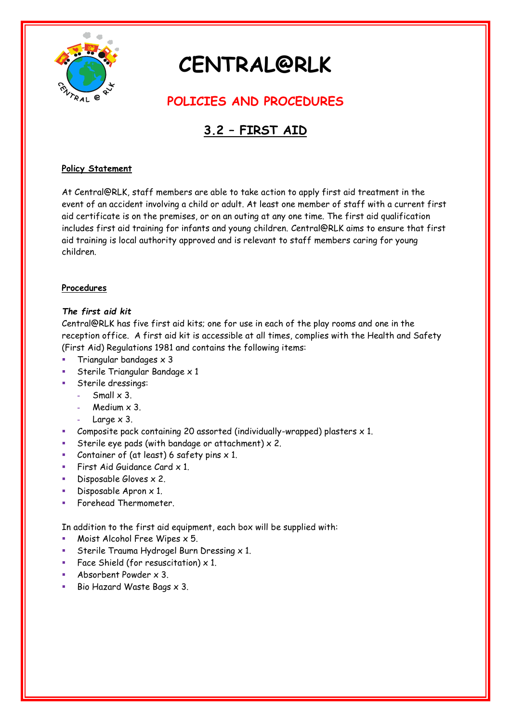

# **CENTRAL@RLK**

## **POLICIES AND PROCEDURES**

## **3.2 – FIRST AID**

### **Policy Statement**

At Central@RLK, staff members are able to take action to apply first aid treatment in the event of an accident involving a child or adult. At least one member of staff with a current first aid certificate is on the premises, or on an outing at any one time. The first aid qualification includes first aid training for infants and young children. Central@RLK aims to ensure that first aid training is local authority approved and is relevant to staff members caring for young children.

### **Procedures**

### *The first aid kit*

Central@RLK has five first aid kits; one for use in each of the play rooms and one in the reception office. A first aid kit is accessible at all times, complies with the Health and Safety (First Aid) Regulations 1981 and contains the following items:

- Triangular bandages x 3
- Sterile Triangular Bandage x 1
- Sterile dressings:
	- **-** Small x 3.
	- **-** Medium x 3.
	- **-** Large x 3.
- Composite pack containing 20 assorted (individually-wrapped) plasters  $\times$  1.
- Sterile eye pads (with bandage or attachment)  $\times$  2.
- Container of (at least) 6 safety pins  $\times$  1.
- First Aid Guidance Card  $\times$  1.
- Disposable Gloves  $\times$  2.
- Disposable Apron x 1.
- Forehead Thermometer.

In addition to the first aid equipment, each box will be supplied with:

- Moist Alcohol Free Wipes x 5.
- Sterile Trauma Hydrogel Burn Dressing  $\times$  1.
- Face Shield (for resuscitation)  $\times$  1.
- **Absorbent Powder x 3.**
- Bio Hazard Waste Bags x 3.